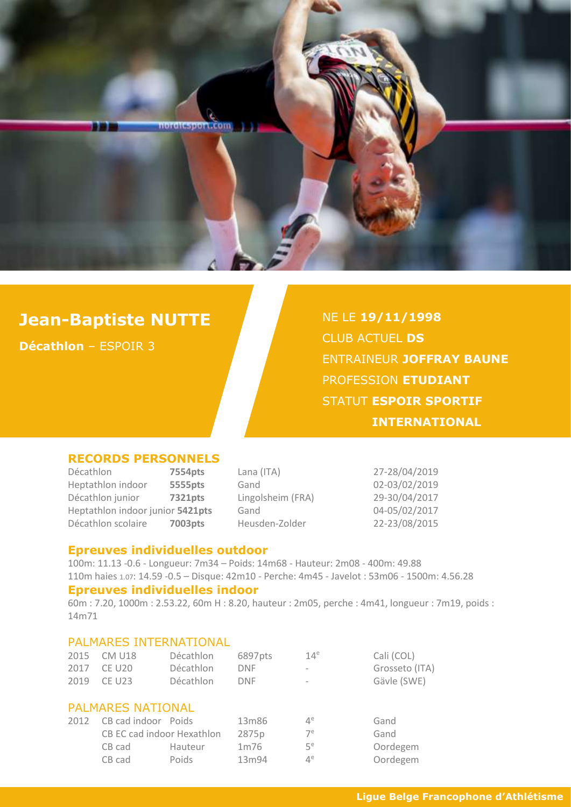

# **Jean-Baptiste NUTTE**

**Décathlon** – ESPOIR 3

NE LE **19/11/1998** CLUB ACTUEL **DS** ENTRAINEUR **JOFFRAY BAUNE** PROFESSION **ETUDIANT** STATUT **ESPOIR SPORTIF INTERNATIONAL**

#### **RECORDS PERSONNELS**

Décathlon **7554pts** Lana (ITA) 27-28/04/2019 Heptathlon indoor **5555pts** Gand 02-03/02/2019 Décathlon junior **7321pts** Lingolsheim (FRA) 29-30/04/2017 Heptathlon indoor junior **5421pts** Gand 04-05/02/2017 Décathlon scolaire **7003pts** Heusden-Zolder 22-23/08/2015

#### **Epreuves individuelles outdoor**

100m: 11.13 -0.6 - Longueur: 7m34 – Poids: 14m68 - Hauteur: 2m08 - 400m: 49.88 110m haies 1.07: 14.59 -0.5 – Disque: 42m10 - Perche: 4m45 - Javelot : 53m06 - 1500m: 4.56.28

#### **Epreuves individuelles indoor**

60m : 7.20, 1000m : 2.53.22, 60m H : 8.20, hauteur : 2m05, perche : 4m41, longueur : 7m19, poids : 14m71

#### PALMARES INTERNATIONAL

| 2015                     | <b>CM U18</b>              | Décathlon | 6897pts           | 14 <sup>e</sup> | Cali (COL)     |  |
|--------------------------|----------------------------|-----------|-------------------|-----------------|----------------|--|
| 2017                     | <b>CE U20</b>              | Décathlon | <b>DNF</b>        |                 | Grosseto (ITA) |  |
| 2019                     | <b>CE U23</b>              | Décathlon | <b>DNF</b>        |                 | Gävle (SWE)    |  |
|                          |                            |           |                   |                 |                |  |
| <b>PALMARES NATIONAL</b> |                            |           |                   |                 |                |  |
| 2012                     | CB cad indoor Poids        |           | 13m86             | $4^e$           | Gand           |  |
|                          | CB EC cad indoor Hexathlon |           | 2875p             | 7 <sup>e</sup>  | Gand           |  |
|                          | CB cad                     | Hauteur   | 1 <sub>m</sub> 76 | 5 <sup>e</sup>  | Oordegem       |  |
|                          | CB cad                     | Poids     | 13m94             | $4^e$           | Oordegem       |  |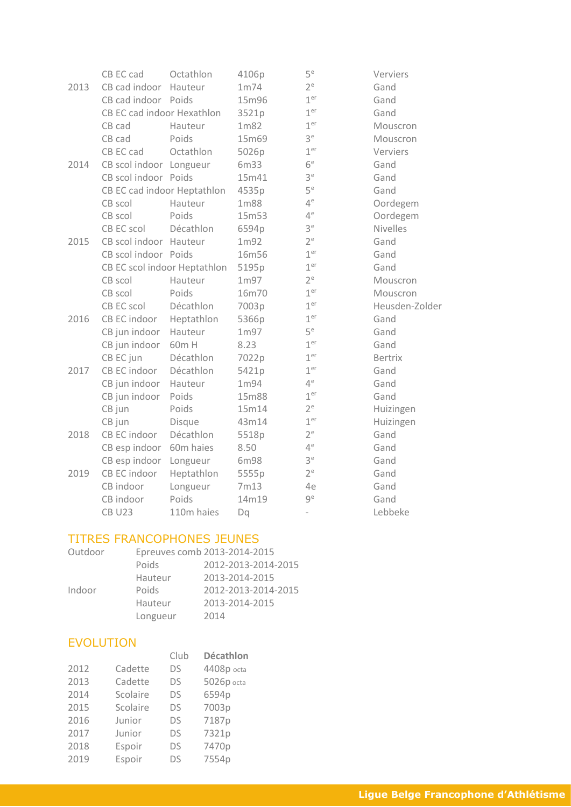|      | CB EC cad                    | Octathlon  | 4106p | $5^e$                    | Verviers        |
|------|------------------------------|------------|-------|--------------------------|-----------------|
| 2013 | CB cad indoor                | Hauteur    | 1m74  | $2^e$                    | Gand            |
|      | CB cad indoor Poids          |            | 15m96 | 1 <sup>er</sup>          | Gand            |
|      | CB EC cad indoor Hexathlon   |            | 3521p | 1 <sup>er</sup>          | Gand            |
|      | CB cad                       | Hauteur    | 1m82  | 1 <sup>er</sup>          | Mouscron        |
|      | CB cad                       | Poids      | 15m69 | 3 <sup>e</sup>           | Mouscron        |
|      | CB EC cad                    | Octathlon  | 5026p | 1 <sup>er</sup>          | Verviers        |
| 2014 | CB scol indoor Longueur      |            | 6m33  | 6 <sup>e</sup>           | Gand            |
|      | CB scol indoor Poids         |            | 15m41 | 3 <sup>e</sup>           | Gand            |
|      | CB EC cad indoor Heptathlon  |            | 4535p | 5 <sup>e</sup>           | Gand            |
|      | CB scol                      | Hauteur    | 1m88  | $4^e$                    | Oordegem        |
|      | CB scol                      | Poids      | 15m53 | $4^e$                    | Oordegem        |
|      | CB EC scol                   | Décathlon  | 6594p | 3 <sup>e</sup>           | <b>Nivelles</b> |
| 2015 | CB scol indoor Hauteur       |            | 1m92  | $2^e$                    | Gand            |
|      | CB scol indoor Poids         |            | 16m56 | 1 <sup>er</sup>          | Gand            |
|      | CB EC scol indoor Heptathlon |            | 5195p | 1 <sup>er</sup>          | Gand            |
|      | CB scol                      | Hauteur    | 1m97  | $2^e$                    | Mouscron        |
|      | CB scol                      | Poids      | 16m70 | 1 <sup>er</sup>          | Mouscron        |
|      | CB EC scol                   | Décathlon  | 7003p | 1 <sup>er</sup>          | Heusden-Zolder  |
| 2016 | CB EC indoor                 | Heptathlon | 5366p | 1 <sup>er</sup>          | Gand            |
|      | CB jun indoor                | Hauteur    | 1m97  | 5 <sup>e</sup>           | Gand            |
|      | CB jun indoor                | 60m H      | 8.23  | 1 <sup>er</sup>          | Gand            |
|      | CB EC jun                    | Décathlon  | 7022p | 1 <sup>er</sup>          | <b>Bertrix</b>  |
| 2017 | CB EC indoor                 | Décathlon  | 5421p | 1 <sup>er</sup>          | Gand            |
|      | CB jun indoor                | Hauteur    | 1m94  | $4^e$                    | Gand            |
|      | CB jun indoor                | Poids      | 15m88 | 1 <sup>er</sup>          | Gand            |
|      | CB jun                       | Poids      | 15m14 | 2 <sup>e</sup>           | Huizingen       |
|      | CB jun                       | Disque     | 43m14 | 1 <sup>er</sup>          | Huizingen       |
| 2018 | CB EC indoor                 | Décathlon  | 5518p | $2^e$                    | Gand            |
|      | CB esp indoor                | 60m haies  | 8.50  | $4^e$                    | Gand            |
|      | CB esp indoor                | Longueur   | 6m98  | 3 <sup>e</sup>           | Gand            |
| 2019 | CB EC indoor                 | Heptathlon | 5555p | $2^e$                    | Gand            |
|      | CB indoor                    | Longueur   | 7m13  | 4e                       | Gand            |
|      | CB indoor                    | Poids      | 14m19 | 9 <sup>e</sup>           | Gand            |
|      | <b>CB U23</b>                | 110m haies | Dq    | $\overline{\phantom{0}}$ | Lebbeke         |

## TITRES FRANCOPHONES JEUNES

| Outdoor | Epreuves comb 2013-2014-2015 |                     |  |  |
|---------|------------------------------|---------------------|--|--|
|         | Poids                        | 2012-2013-2014-2015 |  |  |
|         | Hauteur                      | 2013-2014-2015      |  |  |
| Indoor  | Poids                        | 2012-2013-2014-2015 |  |  |
|         | Hauteur                      | 2013-2014-2015      |  |  |
|         | Longueur                     | 2014                |  |  |

### EVOLUTION

|      |          | Club | <b>Décathlon</b> |
|------|----------|------|------------------|
| 2012 | Cadette  | DS   | 4408p octa       |
| 2013 | Cadette  | DS   | 5026p octa       |
| 2014 | Scolaire | DS   | 6594p            |
| 2015 | Scolaire | DS   | 7003p            |
| 2016 | Junior   | DS   | 7187p            |
| 2017 | Junior   | DS   | 7321p            |
| 2018 | Espoir   | DS   | 7470p            |
| 2019 | Espoir   | DS   | 7554p            |